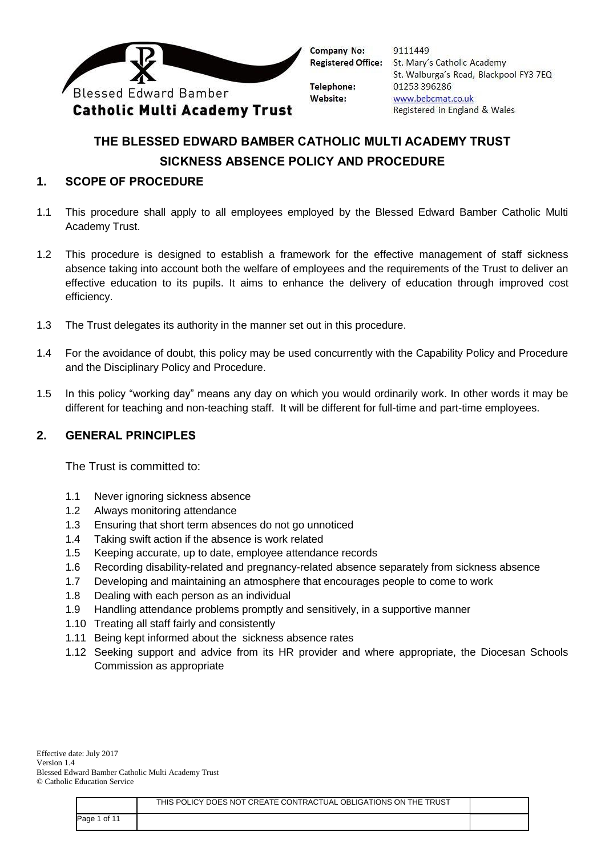

9111449 St. Mary's Catholic Academy St. Walburga's Road, Blackpool FY3 7EQ 01253 396286 www.bebcmat.co.uk Registered in England & Wales

# **THE BLESSED EDWARD BAMBER CATHOLIC MULTI ACADEMY TRUST SICKNESS ABSENCE POLICY AND PROCEDURE**

## **1. SCOPE OF PROCEDURE**

- 1.1 This procedure shall apply to all employees employed by the Blessed Edward Bamber Catholic Multi Academy Trust.
- 1.2 This procedure is designed to establish a framework for the effective management of staff sickness absence taking into account both the welfare of employees and the requirements of the Trust to deliver an effective education to its pupils. It aims to enhance the delivery of education through improved cost efficiency.
- 1.3 The Trust delegates its authority in the manner set out in this procedure.
- 1.4 For the avoidance of doubt, this policy may be used concurrently with the Capability Policy and Procedure and the Disciplinary Policy and Procedure.
- 1.5 In this policy "working day" means any day on which you would ordinarily work. In other words it may be different for teaching and non-teaching staff. It will be different for full-time and part-time employees.

### **2. GENERAL PRINCIPLES**

The Trust is committed to:

- 1.1 Never ignoring sickness absence
- 1.2 Always monitoring attendance
- 1.3 Ensuring that short term absences do not go unnoticed
- 1.4 Taking swift action if the absence is work related
- 1.5 Keeping accurate, up to date, employee attendance records
- 1.6 Recording disability-related and pregnancy-related absence separately from sickness absence
- 1.7 Developing and maintaining an atmosphere that encourages people to come to work
- 1.8 Dealing with each person as an individual
- 1.9 Handling attendance problems promptly and sensitively, in a supportive manner
- 1.10 Treating all staff fairly and consistently
- 1.11 Being kept informed about the sickness absence rates
- 1.12 Seeking support and advice from its HR provider and where appropriate, the Diocesan Schools Commission as appropriate

|              | THIS POLICY DOES NOT CREATE CONTRACTUAL OBLIGATIONS ON THE TRUST |  |
|--------------|------------------------------------------------------------------|--|
| Page 1 of 11 |                                                                  |  |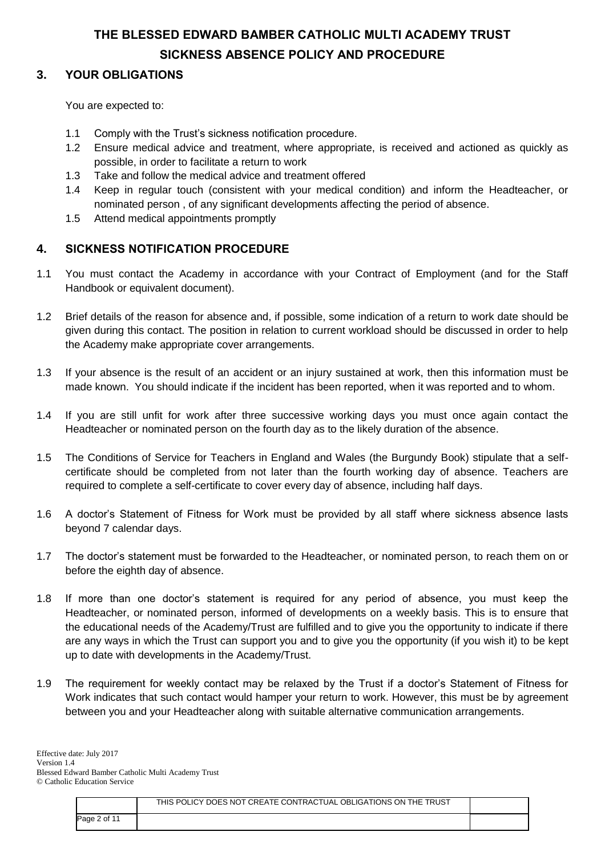## **3. YOUR OBLIGATIONS**

You are expected to:

- 1.1 Comply with the Trust's sickness notification procedure.
- 1.2 Ensure medical advice and treatment, where appropriate, is received and actioned as quickly as possible, in order to facilitate a return to work
- 1.3 Take and follow the medical advice and treatment offered
- 1.4 Keep in regular touch (consistent with your medical condition) and inform the Headteacher, or nominated person , of any significant developments affecting the period of absence.
- 1.5 Attend medical appointments promptly

## **4. SICKNESS NOTIFICATION PROCEDURE**

- 1.1 You must contact the Academy in accordance with your Contract of Employment (and for the Staff Handbook or equivalent document).
- 1.2 Brief details of the reason for absence and, if possible, some indication of a return to work date should be given during this contact. The position in relation to current workload should be discussed in order to help the Academy make appropriate cover arrangements.
- 1.3 If your absence is the result of an accident or an injury sustained at work, then this information must be made known. You should indicate if the incident has been reported, when it was reported and to whom.
- 1.4 If you are still unfit for work after three successive working days you must once again contact the Headteacher or nominated person on the fourth day as to the likely duration of the absence.
- 1.5 The Conditions of Service for Teachers in England and Wales (the Burgundy Book) stipulate that a selfcertificate should be completed from not later than the fourth working day of absence. Teachers are required to complete a self-certificate to cover every day of absence, including half days.
- 1.6 A doctor's Statement of Fitness for Work must be provided by all staff where sickness absence lasts beyond 7 calendar days.
- 1.7 The doctor's statement must be forwarded to the Headteacher, or nominated person, to reach them on or before the eighth day of absence.
- 1.8 If more than one doctor's statement is required for any period of absence, you must keep the Headteacher, or nominated person, informed of developments on a weekly basis. This is to ensure that the educational needs of the Academy/Trust are fulfilled and to give you the opportunity to indicate if there are any ways in which the Trust can support you and to give you the opportunity (if you wish it) to be kept up to date with developments in the Academy/Trust.
- 1.9 The requirement for weekly contact may be relaxed by the Trust if a doctor's Statement of Fitness for Work indicates that such contact would hamper your return to work. However, this must be by agreement between you and your Headteacher along with suitable alternative communication arrangements.

|              | THIS POLICY DOES NOT CREATE CONTRACTUAL OBLIGATIONS ON THE TRUST |  |
|--------------|------------------------------------------------------------------|--|
| Page 2 of 11 |                                                                  |  |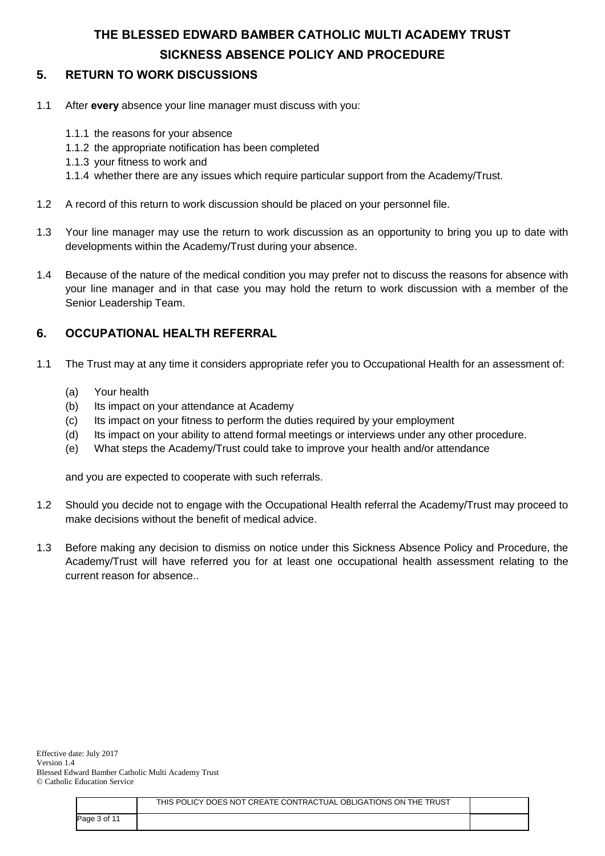## **5. RETURN TO WORK DISCUSSIONS**

- 1.1 After **every** absence your line manager must discuss with you:
	- 1.1.1 the reasons for your absence
	- 1.1.2 the appropriate notification has been completed
	- 1.1.3 your fitness to work and
	- 1.1.4 whether there are any issues which require particular support from the Academy/Trust.
- 1.2 A record of this return to work discussion should be placed on your personnel file.
- 1.3 Your line manager may use the return to work discussion as an opportunity to bring you up to date with developments within the Academy/Trust during your absence.
- 1.4 Because of the nature of the medical condition you may prefer not to discuss the reasons for absence with your line manager and in that case you may hold the return to work discussion with a member of the Senior Leadership Team.

## **6. OCCUPATIONAL HEALTH REFERRAL**

- 1.1 The Trust may at any time it considers appropriate refer you to Occupational Health for an assessment of:
	- (a) Your health
	- (b) Its impact on your attendance at Academy
	- (c) Its impact on your fitness to perform the duties required by your employment
	- (d) Its impact on your ability to attend formal meetings or interviews under any other procedure.
	- (e) What steps the Academy/Trust could take to improve your health and/or attendance

and you are expected to cooperate with such referrals.

- 1.2 Should you decide not to engage with the Occupational Health referral the Academy/Trust may proceed to make decisions without the benefit of medical advice.
- 1.3 Before making any decision to dismiss on notice under this Sickness Absence Policy and Procedure, the Academy/Trust will have referred you for at least one occupational health assessment relating to the current reason for absence..

|              | THIS POLICY DOES NOT CREATE CONTRACTUAL OBLIGATIONS ON THE TRUST |  |
|--------------|------------------------------------------------------------------|--|
| Page 3 of 11 |                                                                  |  |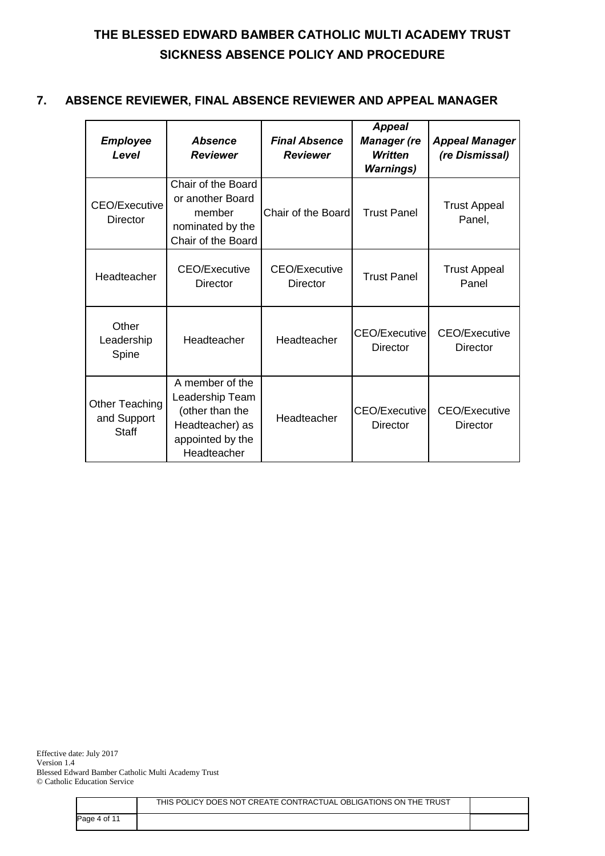## **7. ABSENCE REVIEWER, FINAL ABSENCE REVIEWER AND APPEAL MANAGER**

| <b>Employee</b><br>Level                      | <b>Absence</b><br><b>Reviewer</b>                                                                           | <b>Final Absence</b><br><b>Reviewer</b> | <b>Appeal</b><br><b>Manager</b> (re<br><b>Written</b><br><b>Warnings)</b> | <b>Appeal Manager</b><br>(re Dismissal) |
|-----------------------------------------------|-------------------------------------------------------------------------------------------------------------|-----------------------------------------|---------------------------------------------------------------------------|-----------------------------------------|
| <b>CEO/Executive</b><br>Director              | Chair of the Board<br>or another Board<br>member<br>nominated by the<br>Chair of the Board                  | Chair of the Board                      | <b>Trust Panel</b>                                                        | <b>Trust Appeal</b><br>Panel,           |
| Headteacher                                   | <b>CEO/Executive</b><br><b>Director</b>                                                                     | <b>CEO/Executive</b><br><b>Director</b> | <b>Trust Panel</b>                                                        | <b>Trust Appeal</b><br>Panel            |
| Other<br>Leadership<br>Spine                  | Headteacher                                                                                                 | Headteacher                             | CEO/Executive<br>Director                                                 | CEO/Executive<br>Director               |
| Other Teaching<br>and Support<br><b>Staff</b> | A member of the<br>Leadership Team<br>(other than the<br>Headteacher) as<br>appointed by the<br>Headteacher | Headteacher                             | <b>CEO/Executive</b><br>Director                                          | <b>CEO/Executive</b><br>Director        |

Effective date: July 2017 Version 1.4 Blessed Edward Bamber Catholic Multi Academy Trust © Catholic Education Service

|              | THIS POLICY DOES NOT CREATE CONTRACTUAL OBLIGATIONS ON THE TRUST |  |
|--------------|------------------------------------------------------------------|--|
| Page 4 of 11 |                                                                  |  |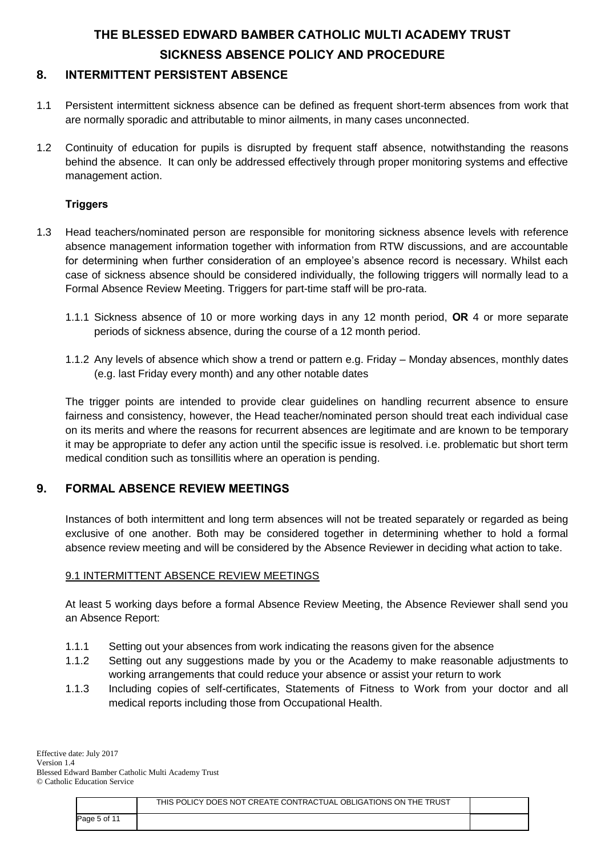## **8. INTERMITTENT PERSISTENT ABSENCE**

- 1.1 Persistent intermittent sickness absence can be defined as frequent short-term absences from work that are normally sporadic and attributable to minor ailments, in many cases unconnected.
- 1.2 Continuity of education for pupils is disrupted by frequent staff absence, notwithstanding the reasons behind the absence. It can only be addressed effectively through proper monitoring systems and effective management action.

## **Triggers**

- 1.3 Head teachers/nominated person are responsible for monitoring sickness absence levels with reference absence management information together with information from RTW discussions, and are accountable for determining when further consideration of an employee's absence record is necessary. Whilst each case of sickness absence should be considered individually, the following triggers will normally lead to a Formal Absence Review Meeting. Triggers for part-time staff will be pro-rata.
	- 1.1.1 Sickness absence of 10 or more working days in any 12 month period, **OR** 4 or more separate periods of sickness absence, during the course of a 12 month period.
	- 1.1.2 Any levels of absence which show a trend or pattern e.g. Friday Monday absences, monthly dates (e.g. last Friday every month) and any other notable dates

The trigger points are intended to provide clear guidelines on handling recurrent absence to ensure fairness and consistency, however, the Head teacher/nominated person should treat each individual case on its merits and where the reasons for recurrent absences are legitimate and are known to be temporary it may be appropriate to defer any action until the specific issue is resolved. i.e. problematic but short term medical condition such as tonsillitis where an operation is pending.

## **9. FORMAL ABSENCE REVIEW MEETINGS**

Instances of both intermittent and long term absences will not be treated separately or regarded as being exclusive of one another. Both may be considered together in determining whether to hold a formal absence review meeting and will be considered by the Absence Reviewer in deciding what action to take.

### 9.1 INTERMITTENT ABSENCE REVIEW MEETINGS

At least 5 working days before a formal Absence Review Meeting, the Absence Reviewer shall send you an Absence Report:

- 1.1.1 Setting out your absences from work indicating the reasons given for the absence
- 1.1.2 Setting out any suggestions made by you or the Academy to make reasonable adjustments to working arrangements that could reduce your absence or assist your return to work
- 1.1.3 Including copies of self-certificates, Statements of Fitness to Work from your doctor and all medical reports including those from Occupational Health.

|              | THIS POLICY DOES NOT CREATE CONTRACTUAL OBLIGATIONS ON THE TRUST |  |
|--------------|------------------------------------------------------------------|--|
| Page 5 of 11 |                                                                  |  |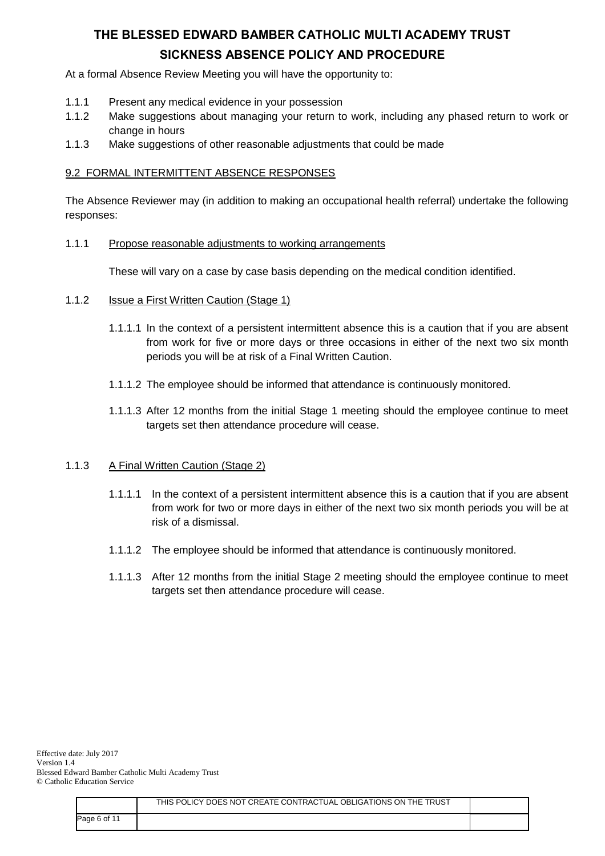At a formal Absence Review Meeting you will have the opportunity to:

- 1.1.1 Present any medical evidence in your possession
- 1.1.2 Make suggestions about managing your return to work, including any phased return to work or change in hours
- 1.1.3 Make suggestions of other reasonable adjustments that could be made

### 9.2 FORMAL INTERMITTENT ABSENCE RESPONSES

The Absence Reviewer may (in addition to making an occupational health referral) undertake the following responses:

#### 1.1.1 Propose reasonable adjustments to working arrangements

These will vary on a case by case basis depending on the medical condition identified.

- 1.1.2 Issue a First Written Caution (Stage 1)
	- 1.1.1.1 In the context of a persistent intermittent absence this is a caution that if you are absent from work for five or more days or three occasions in either of the next two six month periods you will be at risk of a Final Written Caution.
	- 1.1.1.2 The employee should be informed that attendance is continuously monitored.
	- 1.1.1.3 After 12 months from the initial Stage 1 meeting should the employee continue to meet targets set then attendance procedure will cease.

### 1.1.3 A Final Written Caution (Stage 2)

- 1.1.1.1 In the context of a persistent intermittent absence this is a caution that if you are absent from work for two or more days in either of the next two six month periods you will be at risk of a dismissal.
- 1.1.1.2 The employee should be informed that attendance is continuously monitored.
- 1.1.1.3 After 12 months from the initial Stage 2 meeting should the employee continue to meet targets set then attendance procedure will cease.

|              | THIS POLICY DOES NOT CREATE CONTRACTUAL OBLIGATIONS ON THE TRUST |  |
|--------------|------------------------------------------------------------------|--|
| Page 6 of 11 |                                                                  |  |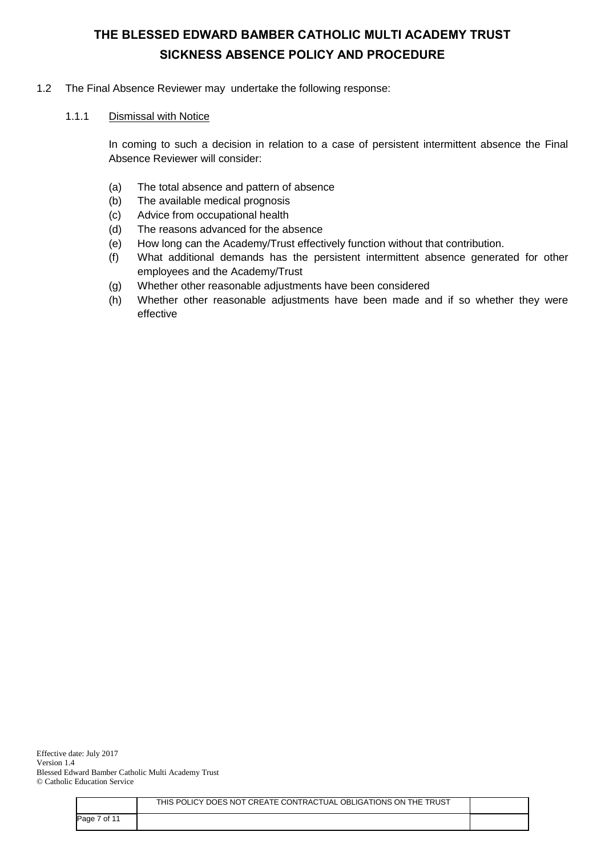### 1.2 The Final Absence Reviewer may undertake the following response:

#### 1.1.1 Dismissal with Notice

In coming to such a decision in relation to a case of persistent intermittent absence the Final Absence Reviewer will consider:

- (a) The total absence and pattern of absence
- (b) The available medical prognosis
- (c) Advice from occupational health
- (d) The reasons advanced for the absence
- (e) How long can the Academy/Trust effectively function without that contribution.
- (f) What additional demands has the persistent intermittent absence generated for other employees and the Academy/Trust
- (g) Whether other reasonable adjustments have been considered
- (h) Whether other reasonable adjustments have been made and if so whether they were effective

|              | THIS POLICY DOES NOT CREATE CONTRACTUAL OBLIGATIONS ON THE TRUST |  |
|--------------|------------------------------------------------------------------|--|
| Page 7 of 11 |                                                                  |  |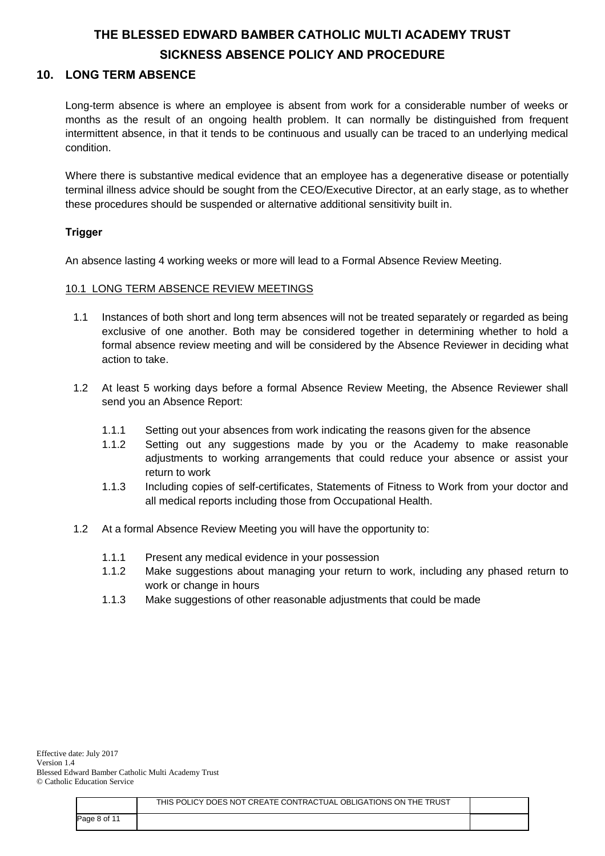### **10. LONG TERM ABSENCE**

Long-term absence is where an employee is absent from work for a considerable number of weeks or months as the result of an ongoing health problem. It can normally be distinguished from frequent intermittent absence, in that it tends to be continuous and usually can be traced to an underlying medical condition.

Where there is substantive medical evidence that an employee has a degenerative disease or potentially terminal illness advice should be sought from the CEO/Executive Director, at an early stage, as to whether these procedures should be suspended or alternative additional sensitivity built in.

## **Trigger**

An absence lasting 4 working weeks or more will lead to a Formal Absence Review Meeting.

### 10.1 LONG TERM ABSENCE REVIEW MEETINGS

- 1.1 Instances of both short and long term absences will not be treated separately or regarded as being exclusive of one another. Both may be considered together in determining whether to hold a formal absence review meeting and will be considered by the Absence Reviewer in deciding what action to take.
- 1.2 At least 5 working days before a formal Absence Review Meeting, the Absence Reviewer shall send you an Absence Report:
	- 1.1.1 Setting out your absences from work indicating the reasons given for the absence
	- 1.1.2 Setting out any suggestions made by you or the Academy to make reasonable adjustments to working arrangements that could reduce your absence or assist your return to work
	- 1.1.3 Including copies of self-certificates, Statements of Fitness to Work from your doctor and all medical reports including those from Occupational Health.
- 1.2 At a formal Absence Review Meeting you will have the opportunity to:
	- 1.1.1 Present any medical evidence in your possession
	- 1.1.2 Make suggestions about managing your return to work, including any phased return to work or change in hours
	- 1.1.3 Make suggestions of other reasonable adjustments that could be made

|              | THIS POLICY DOES NOT CREATE CONTRACTUAL OBLIGATIONS ON THE TRUST |  |
|--------------|------------------------------------------------------------------|--|
| Page 8 of 11 |                                                                  |  |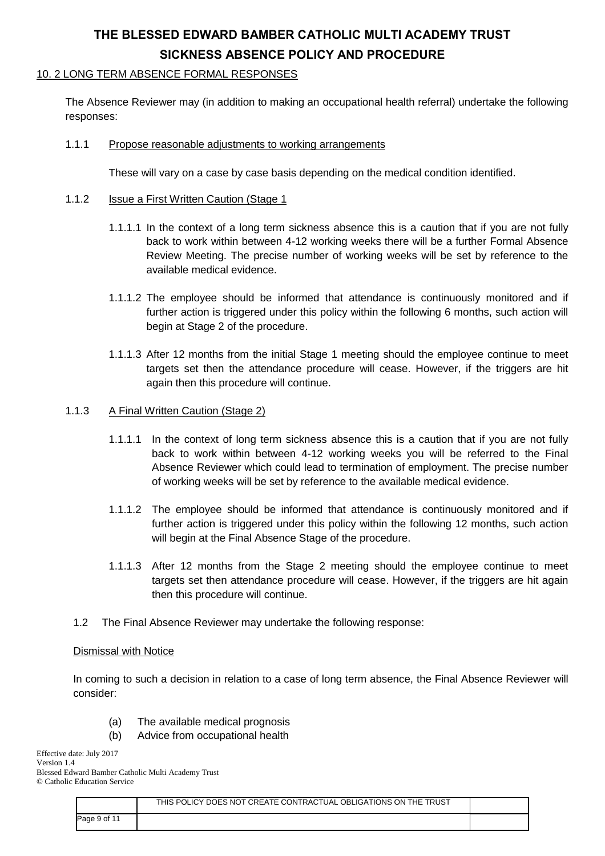### 10. 2 LONG TERM ABSENCE FORMAL RESPONSES

The Absence Reviewer may (in addition to making an occupational health referral) undertake the following responses:

### 1.1.1 Propose reasonable adjustments to working arrangements

These will vary on a case by case basis depending on the medical condition identified.

### 1.1.2 Issue a First Written Caution (Stage 1

- 1.1.1.1 In the context of a long term sickness absence this is a caution that if you are not fully back to work within between 4-12 working weeks there will be a further Formal Absence Review Meeting. The precise number of working weeks will be set by reference to the available medical evidence.
- 1.1.1.2 The employee should be informed that attendance is continuously monitored and if further action is triggered under this policy within the following 6 months, such action will begin at Stage 2 of the procedure.
- 1.1.1.3 After 12 months from the initial Stage 1 meeting should the employee continue to meet targets set then the attendance procedure will cease. However, if the triggers are hit again then this procedure will continue.

### 1.1.3 A Final Written Caution (Stage 2)

- 1.1.1.1 In the context of long term sickness absence this is a caution that if you are not fully back to work within between 4-12 working weeks you will be referred to the Final Absence Reviewer which could lead to termination of employment. The precise number of working weeks will be set by reference to the available medical evidence.
- 1.1.1.2 The employee should be informed that attendance is continuously monitored and if further action is triggered under this policy within the following 12 months, such action will begin at the Final Absence Stage of the procedure.
- 1.1.1.3 After 12 months from the Stage 2 meeting should the employee continue to meet targets set then attendance procedure will cease. However, if the triggers are hit again then this procedure will continue.
- 1.2 The Final Absence Reviewer may undertake the following response:

#### Dismissal with Notice

In coming to such a decision in relation to a case of long term absence, the Final Absence Reviewer will consider:

- (a) The available medical prognosis
- (b) Advice from occupational health

Effective date: July 2017 Version 1.4 Blessed Edward Bamber Catholic Multi Academy Trust © Catholic Education Service

|              | THIS POLICY DOES NOT CREATE CONTRACTUAL OBLIGATIONS ON THE TRUST |  |
|--------------|------------------------------------------------------------------|--|
| Page 9 of 11 |                                                                  |  |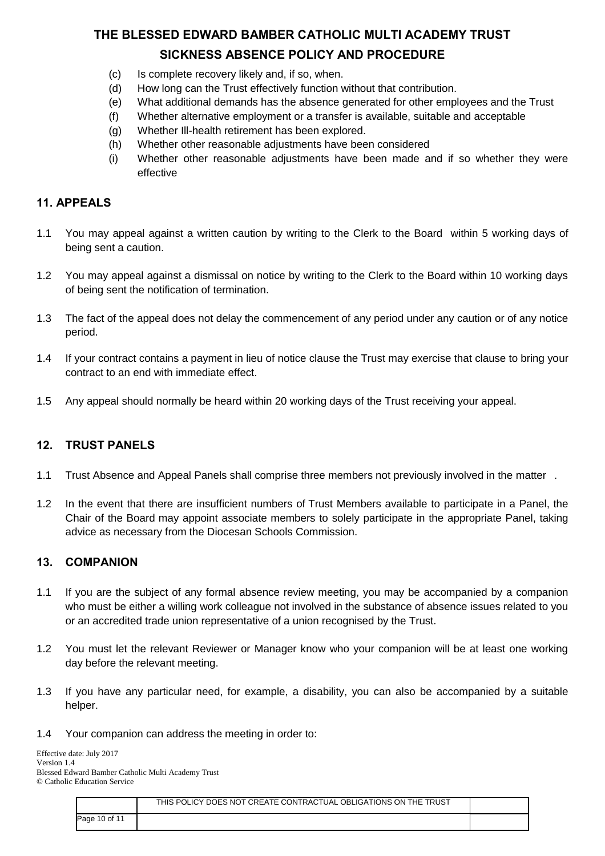- (c) Is complete recovery likely and, if so, when.
- (d) How long can the Trust effectively function without that contribution.
- (e) What additional demands has the absence generated for other employees and the Trust
- (f) Whether alternative employment or a transfer is available, suitable and acceptable
- (g) Whether Ill-health retirement has been explored.
- (h) Whether other reasonable adjustments have been considered
- (i) Whether other reasonable adjustments have been made and if so whether they were effective

### **11. APPEALS**

- 1.1 You may appeal against a written caution by writing to the Clerk to the Board within 5 working days of being sent a caution.
- 1.2 You may appeal against a dismissal on notice by writing to the Clerk to the Board within 10 working days of being sent the notification of termination.
- 1.3 The fact of the appeal does not delay the commencement of any period under any caution or of any notice period.
- 1.4 If your contract contains a payment in lieu of notice clause the Trust may exercise that clause to bring your contract to an end with immediate effect.
- 1.5 Any appeal should normally be heard within 20 working days of the Trust receiving your appeal.

### **12. TRUST PANELS**

- 1.1 Trust Absence and Appeal Panels shall comprise three members not previously involved in the matter .
- 1.2 In the event that there are insufficient numbers of Trust Members available to participate in a Panel, the Chair of the Board may appoint associate members to solely participate in the appropriate Panel, taking advice as necessary from the Diocesan Schools Commission.

### **13. COMPANION**

- 1.1 If you are the subject of any formal absence review meeting, you may be accompanied by a companion who must be either a willing work colleague not involved in the substance of absence issues related to you or an accredited trade union representative of a union recognised by the Trust.
- 1.2 You must let the relevant Reviewer or Manager know who your companion will be at least one working day before the relevant meeting.
- 1.3 If you have any particular need, for example, a disability, you can also be accompanied by a suitable helper.
- 1.4 Your companion can address the meeting in order to:

| Effective date: July 2017                          |  |
|----------------------------------------------------|--|
| Version 1.4                                        |  |
| Blessed Edward Bamber Catholic Multi Academy Trust |  |
| © Catholic Education Service                       |  |
|                                                    |  |

|               | THIS POLICY DOES NOT CREATE CONTRACTUAL OBLIGATIONS ON THE TRUST |  |
|---------------|------------------------------------------------------------------|--|
| Page 10 of 11 |                                                                  |  |